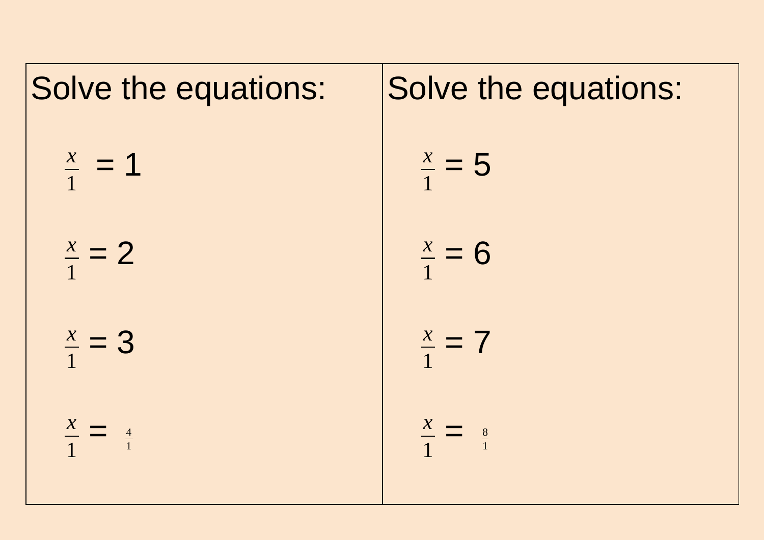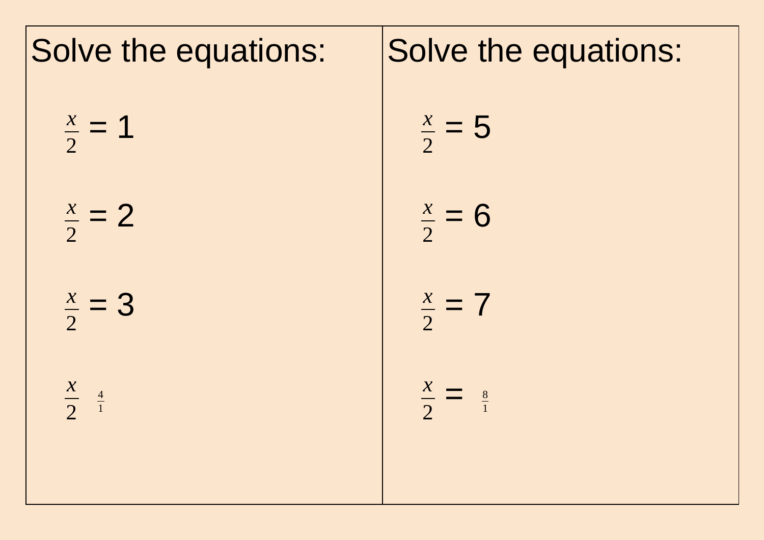| Solve the equations:        | Solve the equations:        |
|-----------------------------|-----------------------------|
| $\frac{x}{2} = 1$           | $\frac{x}{2} = 5$           |
| $\frac{x}{2} = 2$           | $\frac{x}{2} = 6$           |
| $\frac{x}{2} = 3$           | $\frac{x}{2} = 7$           |
| $\frac{x}{2}$ $\frac{4}{1}$ | $\frac{x}{2} = \frac{8}{1}$ |
|                             |                             |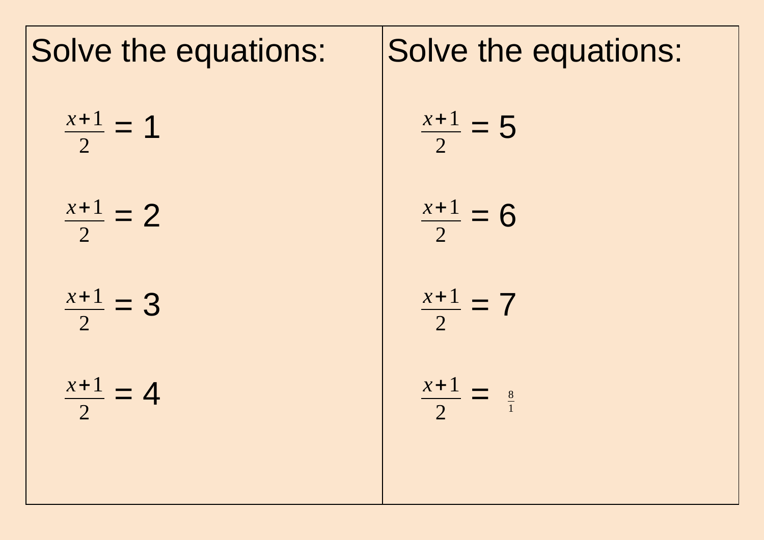

## Solve the equations: *x*+1  $= 5$ *x*+1  $= 6$ *x*+1  $= 7$ *x*+1  $=$   $\frac{8}{1}$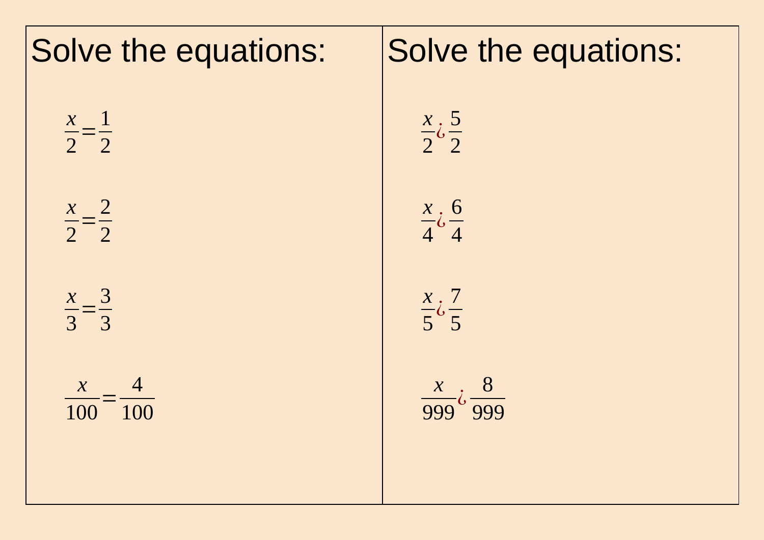| Solve the equations:            | Solve the equations:                           |
|---------------------------------|------------------------------------------------|
| $\frac{x}{2} = \frac{1}{2}$     | $\frac{x}{2} \dot{\zeta} \frac{5}{2}$          |
| $\frac{x}{2} = \frac{2}{2}$     | $\frac{x}{4}$ $\frac{6}{4}$                    |
| $\frac{x}{3} = \frac{3}{3}$     | $\frac{x}{5} \dot{\zeta} \frac{7}{5}$          |
| $\frac{x}{100} = \frac{4}{100}$ | $\frac{x}{999} \dot{\mathrm{c}} \frac{8}{999}$ |
|                                 |                                                |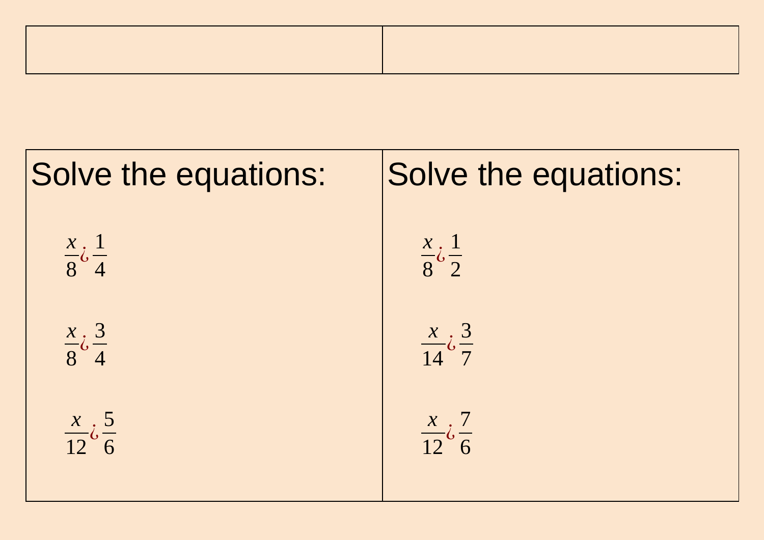

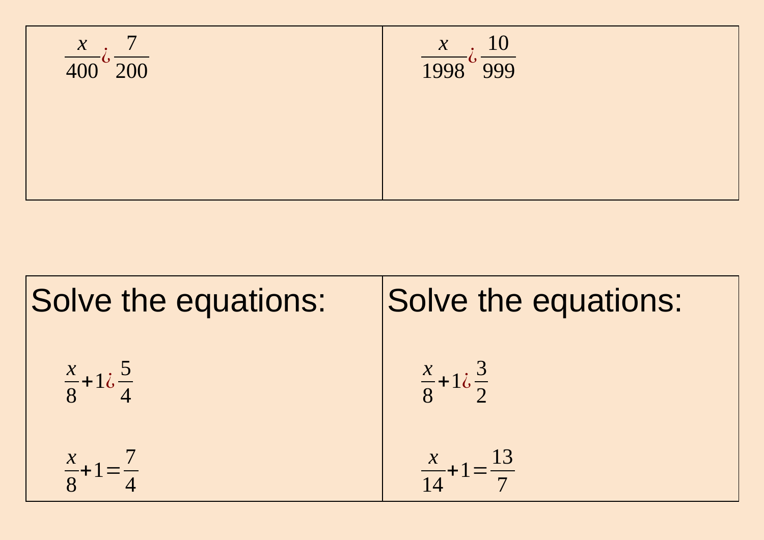

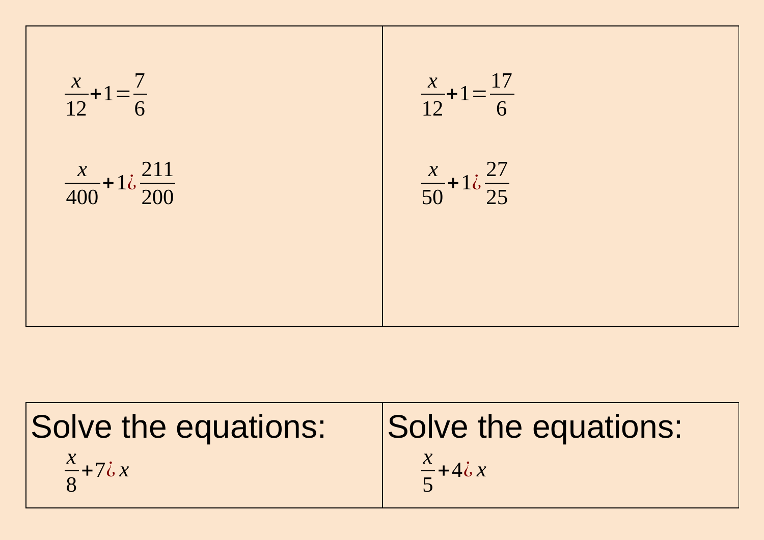

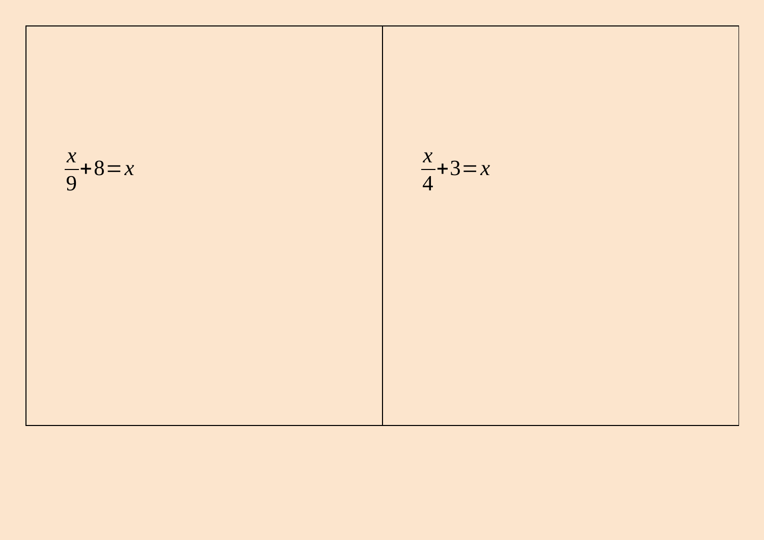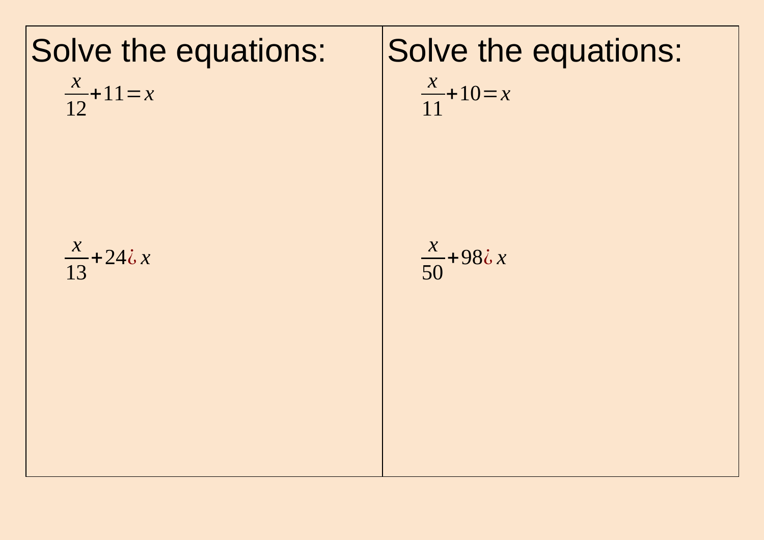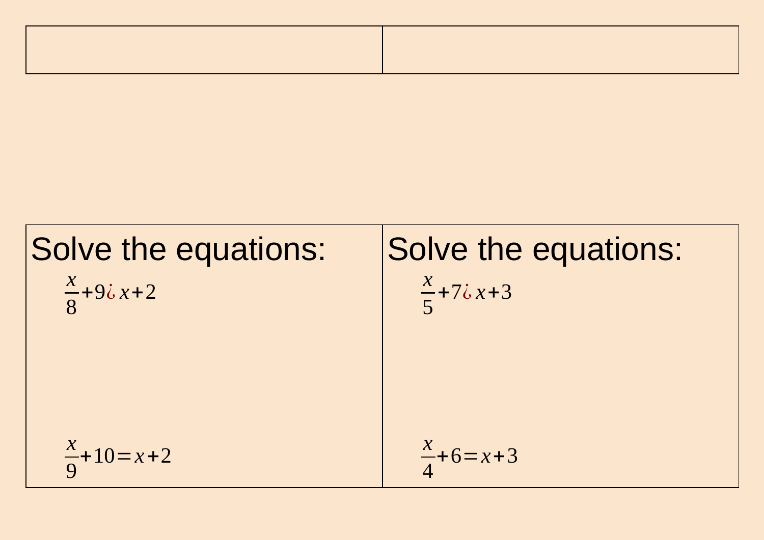| ,我们也不会有什么?""我们的人,我们也不会有什么?""我们的人,我们也不会有什么?""我们的人,我们也不会有什么?""我们的人,我们也不会有什么?""我们的人 |  |
|----------------------------------------------------------------------------------|--|
|                                                                                  |  |
|                                                                                  |  |
|                                                                                  |  |
|                                                                                  |  |
|                                                                                  |  |

Solve the equations:  
\n
$$
\frac{x}{8}+9\lambda x+2
$$
  
\n $\frac{x}{5}+7\lambda x+3$   
\n $\frac{x}{9}+10=x+2$   
\n $\frac{x}{4}+6=x+3$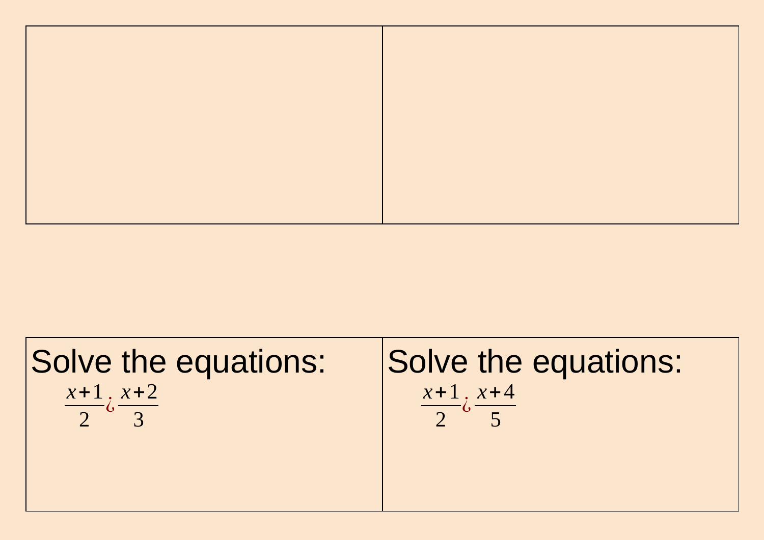

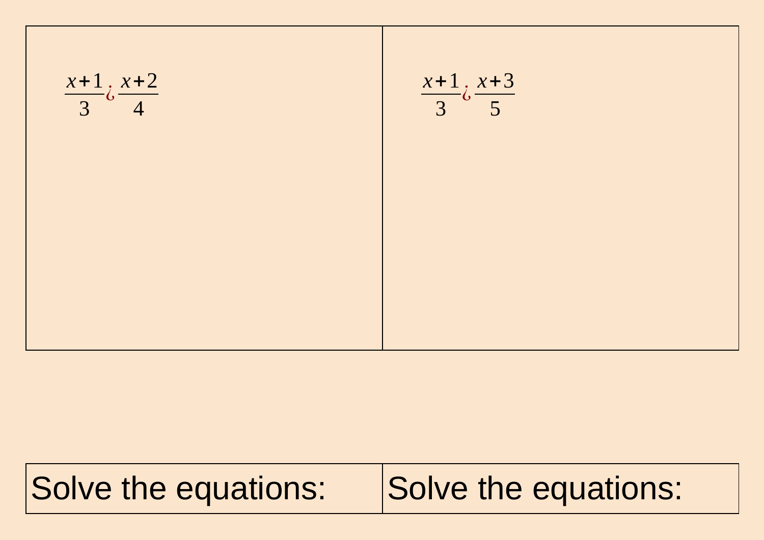

## Solve the equations: Solve the equations: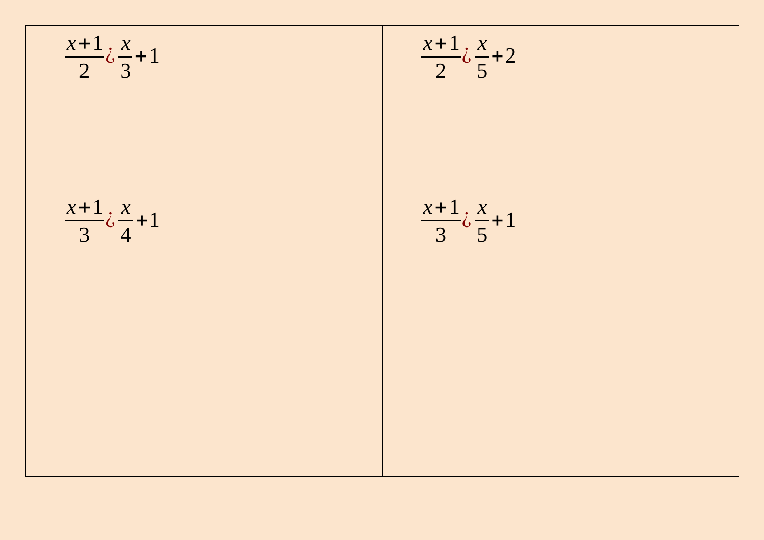$$
\begin{array}{|c|c|}\n\hline\n\frac{x+1}{2} \dot{\phi} \frac{x}{3} + 1 & \frac{x+1}{2} \dot{\phi} \frac{x}{5} + 2 \\
\hline\n\frac{x+1}{3} \dot{\phi} \frac{x}{4} + 1 & \frac{x+1}{3} \dot{\phi} \frac{x}{5} + 1 \\
\hline\n\end{array}
$$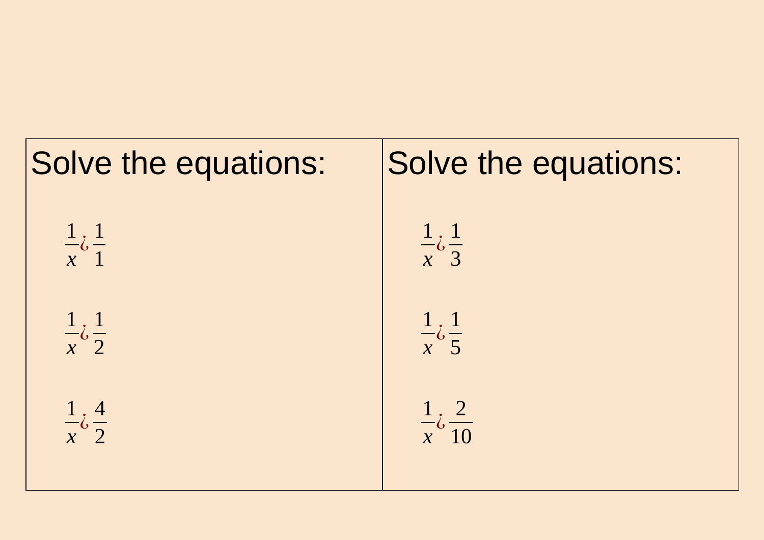